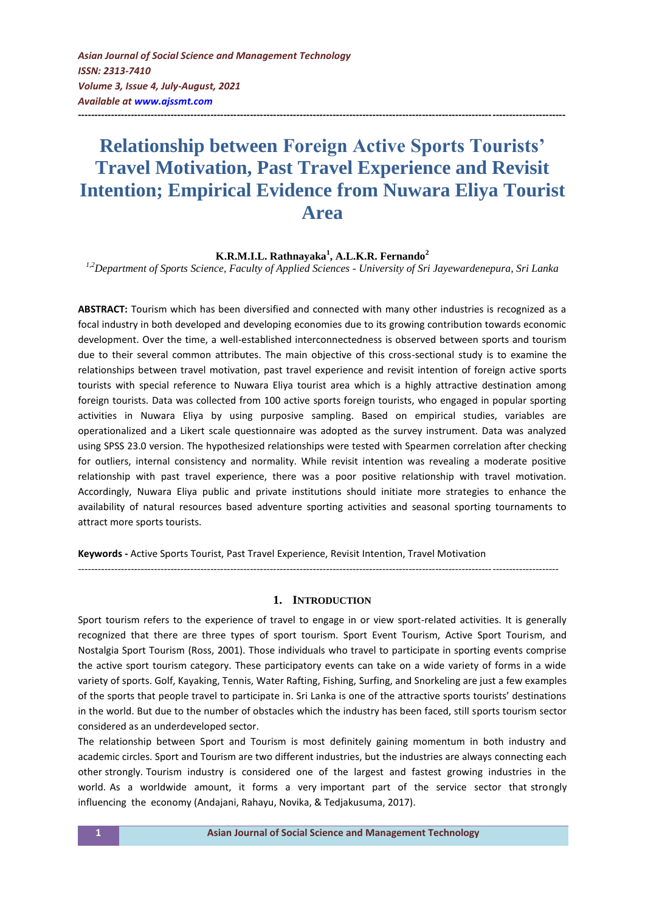*Asian Journal of Social Science and Management Technology ISSN: 2313-7410 Volume 3, Issue 4, July-August, 2021 Available at<www.ajssmt.com>*

# **Relationship between Foreign Active Sports Tourists' Travel Motivation, Past Travel Experience and Revisit Intention; Empirical Evidence from Nuwara Eliya Tourist Area**

**---------------------------------------------------------------------------------------------------------------------------------------------------**

**K.R.M.I.L. Rathnayaka<sup>1</sup> , A.L.K.R. Fernando<sup>2</sup>**

*1,2Department of Sports Science, Faculty of Applied Sciences - University of Sri Jayewardenepura, Sri Lanka*

**ABSTRACT:** Tourism which has been diversified and connected with many other industries is recognized as a focal industry in both developed and developing economies due to its growing contribution towards economic development. Over the time, a well-established interconnectedness is observed between sports and tourism due to their several common attributes. The main objective of this cross-sectional study is to examine the relationships between travel motivation, past travel experience and revisit intention of foreign active sports tourists with special reference to Nuwara Eliya tourist area which is a highly attractive destination among foreign tourists. Data was collected from 100 active sports foreign tourists, who engaged in popular sporting activities in Nuwara Eliya by using purposive sampling. Based on empirical studies, variables are operationalized and a Likert scale questionnaire was adopted as the survey instrument. Data was analyzed using SPSS 23.0 version. The hypothesized relationships were tested with Spearmen correlation after checking for outliers, internal consistency and normality. While revisit intention was revealing a moderate positive relationship with past travel experience, there was a poor positive relationship with travel motivation. Accordingly, Nuwara Eliya public and private institutions should initiate more strategies to enhance the availability of natural resources based adventure sporting activities and seasonal sporting tournaments to attract more sports tourists.

**Keywords -** Active Sports Tourist, Past Travel Experience, Revisit Intention, Travel Motivation

#### **1. INTRODUCTION**

*-------------------------------------------------------------------------------------------------------------------------------------------------*

Sport tourism refers to the experience of travel to engage in or view sport-related activities. It is generally recognized that there are three types of sport tourism. Sport Event Tourism, Active Sport Tourism, and Nostalgia Sport Tourism (Ross, 2001). Those individuals who travel to participate in sporting events comprise the active sport tourism category. These participatory events can take on a wide variety of forms in a wide variety of sports. Golf, Kayaking, Tennis, Water Rafting, Fishing, Surfing, and Snorkeling are just a few examples of the sports that people travel to participate in. Sri Lanka is one of the attractive sports tourists' destinations in the world. But due to the number of obstacles which the industry has been faced, still sports tourism sector considered as an underdeveloped sector.

The relationship between Sport and Tourism is most definitely gaining momentum in both industry and academic circles. Sport and Tourism are two different industries, but the industries are always connecting each other strongly. Tourism industry is considered one of the largest and fastest growing industries in the world. As a worldwide amount, it forms a very important part of the service sector that strongly influencing the economy (Andajani, Rahayu, Novika, & Tedjakusuma, 2017).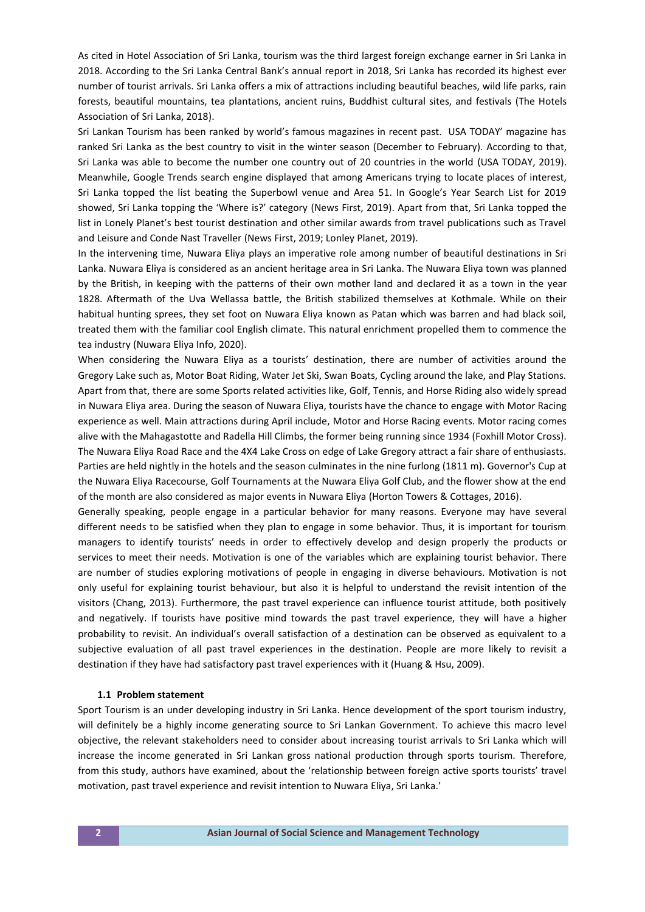As cited in Hotel Association of Sri Lanka, tourism was the third largest foreign exchange earner in Sri Lanka in 2018. According to the Sri Lanka Central Bank's annual report in 2018, Sri Lanka has recorded its highest ever number of tourist arrivals. Sri Lanka offers a mix of attractions including beautiful beaches, wild life parks, rain forests, beautiful mountains, tea plantations, ancient ruins, Buddhist cultural sites, and festivals (The Hotels Association of Sri Lanka, 2018).

Sri Lankan Tourism has been ranked by world's famous magazines in recent past. USA TODAY' magazine has ranked Sri Lanka as the best country to visit in the winter season (December to February). According to that, Sri Lanka was able to become the number one country out of 20 countries in the world (USA TODAY, 2019). Meanwhile, Google Trends search engine displayed that among Americans trying to locate places of interest, Sri Lanka topped the list beating the Superbowl venue and Area 51. In Google's Year Search List for 2019 showed, Sri Lanka topping the 'Where is?' category (News First, 2019). Apart from that, Sri Lanka topped the list in Lonely Planet's best tourist destination and other similar awards from travel publications such as Travel and Leisure and Conde Nast Traveller (News First, 2019; Lonley Planet, 2019).

In the intervening time, Nuwara Eliya plays an imperative role among number of beautiful destinations in Sri Lanka. Nuwara Eliya is considered as an ancient heritage area in Sri Lanka. The Nuwara Eliya town was planned by the British, in keeping with the patterns of their own mother land and declared it as a town in the year 1828. Aftermath of the Uva Wellassa battle, the British stabilized themselves at Kothmale. While on their habitual hunting sprees, they set foot on Nuwara Eliya known as Patan which was barren and had black soil, treated them with the familiar cool English climate. This natural enrichment propelled them to commence the tea industry (Nuwara Eliya Info, 2020).

When considering the Nuwara Eliya as a tourists' destination, there are number of activities around the Gregory Lake such as, Motor Boat Riding, Water Jet Ski, Swan Boats, Cycling around the lake, and Play Stations. Apart from that, there are some Sports related activities like, Golf, Tennis, and Horse Riding also widely spread in Nuwara Eliya area. During the season of Nuwara Eliya, tourists have the chance to engage with Motor Racing experience as well. Main attractions during April include, Motor and Horse Racing events. Motor racing comes alive with the Mahagastotte and Radella Hill Climbs, the former being running since 1934 (Foxhill Motor Cross). The Nuwara Eliya Road Race and the 4X4 Lake Cross on edge of Lake Gregory attract a fair share of enthusiasts. Parties are held nightly in the hotels and the season culminates in the nine furlong (1811 m). Governor's Cup at the Nuwara Eliya Racecourse, Golf Tournaments at the Nuwara Eliya Golf Club, and the flower show at the end of the month are also considered as major events in Nuwara Eliya (Horton Towers & Cottages, 2016).

Generally speaking, people engage in a particular behavior for many reasons. Everyone may have several different needs to be satisfied when they plan to engage in some behavior. Thus, it is important for tourism managers to identify tourists' needs in order to effectively develop and design properly the products or services to meet their needs. Motivation is one of the variables which are explaining tourist behavior. There are number of studies exploring motivations of people in engaging in diverse behaviours. Motivation is not only useful for explaining tourist behaviour, but also it is helpful to understand the revisit intention of the visitors (Chang, 2013). Furthermore, the past travel experience can influence tourist attitude, both positively and negatively. If tourists have positive mind towards the past travel experience, they will have a higher probability to revisit. An individual's overall satisfaction of a destination can be observed as equivalent to a subjective evaluation of all past travel experiences in the destination. People are more likely to revisit a destination if they have had satisfactory past travel experiences with it (Huang & Hsu, 2009).

#### **1.1 Problem statement**

Sport Tourism is an under developing industry in Sri Lanka. Hence development of the sport tourism industry, will definitely be a highly income generating source to Sri Lankan Government. To achieve this macro level objective, the relevant stakeholders need to consider about increasing tourist arrivals to Sri Lanka which will increase the income generated in Sri Lankan gross national production through sports tourism. Therefore, from this study, authors have examined, about the 'relationship between foreign active sports tourists' travel motivation, past travel experience and revisit intention to Nuwara Eliya, Sri Lanka.'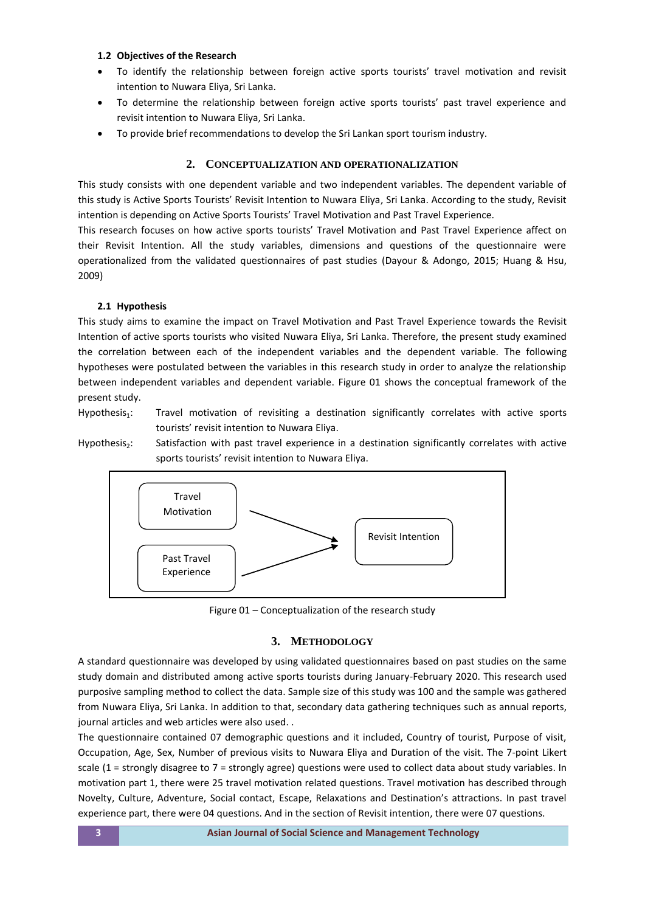### **1.2 Objectives of the Research**

- To identify the relationship between foreign active sports tourists' travel motivation and revisit intention to Nuwara Eliya, Sri Lanka.
- To determine the relationship between foreign active sports tourists' past travel experience and revisit intention to Nuwara Eliya, Sri Lanka.
- To provide brief recommendations to develop the Sri Lankan sport tourism industry.

# **2. CONCEPTUALIZATION AND OPERATIONALIZATION**

This study consists with one dependent variable and two independent variables. The dependent variable of this study is Active Sports Tourists' Revisit Intention to Nuwara Eliya, Sri Lanka. According to the study, Revisit intention is depending on Active Sports Tourists' Travel Motivation and Past Travel Experience.

This research focuses on how active sports tourists' Travel Motivation and Past Travel Experience affect on their Revisit Intention. All the study variables, dimensions and questions of the questionnaire were operationalized from the validated questionnaires of past studies (Dayour & Adongo, 2015; Huang & Hsu, 2009)

# **2.1 Hypothesis**

This study aims to examine the impact on Travel Motivation and Past Travel Experience towards the Revisit Intention of active sports tourists who visited Nuwara Eliya, Sri Lanka. Therefore, the present study examined the correlation between each of the independent variables and the dependent variable. The following hypotheses were postulated between the variables in this research study in order to analyze the relationship between independent variables and dependent variable. Figure 01 shows the conceptual framework of the present study.

Hypothesis<sub>1</sub>: Travel motivation of revisiting a destination significantly correlates with active sports tourists' revisit intention to Nuwara Eliya.

Hypothesis<sub>2</sub>: Satisfaction with past travel experience in a destination significantly correlates with active sports tourists' revisit intention to Nuwara Eliya.



Figure 01 – Conceptualization of the research study

# **3. METHODOLOGY**

A standard questionnaire was developed by using validated questionnaires based on past studies on the same study domain and distributed among active sports tourists during January-February 2020. This research used purposive sampling method to collect the data. Sample size of this study was 100 and the sample was gathered from Nuwara Eliya, Sri Lanka. In addition to that, secondary data gathering techniques such as annual reports, journal articles and web articles were also used. .

The questionnaire contained 07 demographic questions and it included, Country of tourist, Purpose of visit, Occupation, Age, Sex, Number of previous visits to Nuwara Eliya and Duration of the visit. The 7-point Likert scale (1 = strongly disagree to 7 = strongly agree) questions were used to collect data about study variables. In motivation part 1, there were 25 travel motivation related questions. Travel motivation has described through Novelty, Culture, Adventure, Social contact, Escape, Relaxations and Destination's attractions. In past travel experience part, there were 04 questions. And in the section of Revisit intention, there were 07 questions.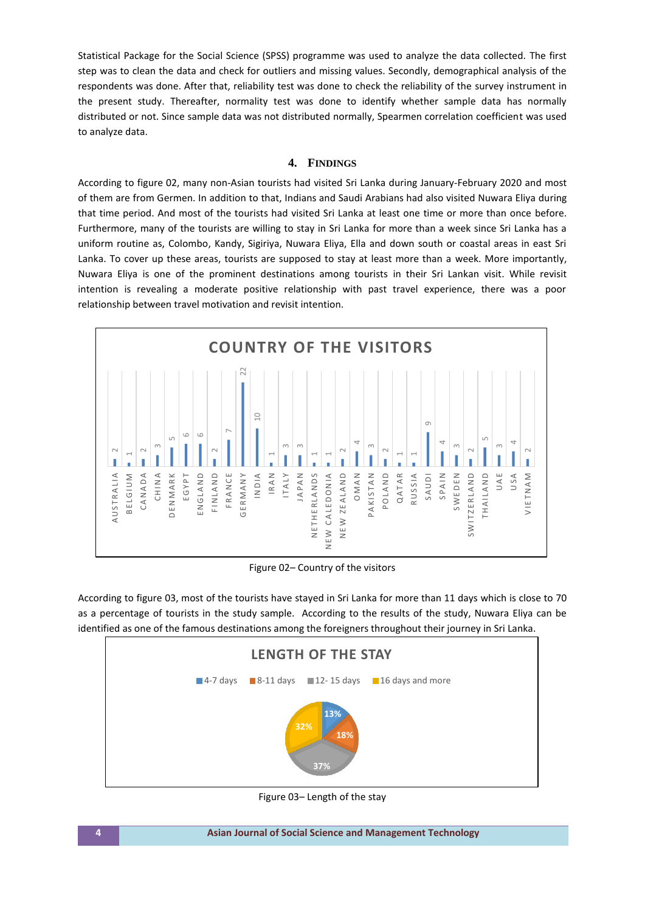Statistical Package for the Social Science (SPSS) programme was used to analyze the data collected. The first step was to clean the data and check for outliers and missing values. Secondly, demographical analysis of the respondents was done. After that, reliability test was done to check the reliability of the survey instrument in the present study. Thereafter, normality test was done to identify whether sample data has normally distributed or not. Since sample data was not distributed normally, Spearmen correlation coefficient was used to analyze data.

## **4. FINDINGS**

According to figure 02, many non-Asian tourists had visited Sri Lanka during January-February 2020 and most of them are from Germen. In addition to that, Indians and Saudi Arabians had also visited Nuwara Eliya during that time period. And most of the tourists had visited Sri Lanka at least one time or more than once before. Furthermore, many of the tourists are willing to stay in Sri Lanka for more than a week since Sri Lanka has a uniform routine as, Colombo, Kandy, Sigiriya, Nuwara Eliya, Ella and down south or coastal areas in east Sri Lanka. To cover up these areas, tourists are supposed to stay at least more than a week. More importantly, Nuwara Eliya is one of the prominent destinations among tourists in their Sri Lankan visit. While revisit intention is revealing a moderate positive relationship with past travel experience, there was a poor relationship between travel motivation and revisit intention.



Figure 02– Country of the visitors

According to figure 03, most of the tourists have stayed in Sri Lanka for more than 11 days which is close to 70 as a percentage of tourists in the study sample. According to the results of the study, Nuwara Eliya can be identified as one of the famous destinations among the foreigners throughout their journey in Sri Lanka.



Figure 03– Length of the stay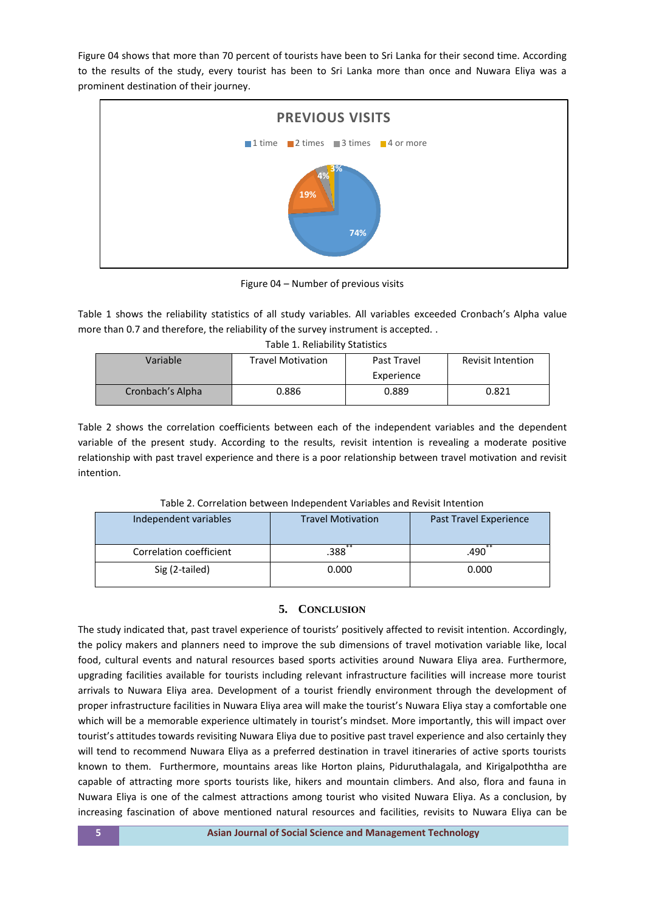Figure 04 shows that more than 70 percent of tourists have been to Sri Lanka for their second time. According to the results of the study, every tourist has been to Sri Lanka more than once and Nuwara Eliya was a prominent destination of their journey.



Figure 04 – Number of previous visits

Table 1 shows the reliability statistics of all study variables. All variables exceeded Cronbach's Alpha value more than 0.7 and therefore, the reliability of the survey instrument is accepted. .

| Variable         | <b>Travel Motivation</b> | Past Travel<br>Experience | <b>Revisit Intention</b> |
|------------------|--------------------------|---------------------------|--------------------------|
| Cronbach's Alpha | 0.886                    | 0.889                     | 0.821                    |

Table 2 shows the correlation coefficients between each of the independent variables and the dependent variable of the present study. According to the results, revisit intention is revealing a moderate positive relationship with past travel experience and there is a poor relationship between travel motivation and revisit intention.

| Independent variables   | <b>Travel Motivation</b> | Past Travel Experience |  |
|-------------------------|--------------------------|------------------------|--|
| Correlation coefficient | .388`                    | .490                   |  |
| Sig (2-tailed)          | 0.000                    | 0.000                  |  |

Table 2. Correlation between Independent Variables and Revisit Intention

# **5. CONCLUSION**

The study indicated that, past travel experience of tourists' positively affected to revisit intention. Accordingly, the policy makers and planners need to improve the sub dimensions of travel motivation variable like, local food, cultural events and natural resources based sports activities around Nuwara Eliya area. Furthermore, upgrading facilities available for tourists including relevant infrastructure facilities will increase more tourist arrivals to Nuwara Eliya area. Development of a tourist friendly environment through the development of proper infrastructure facilities in Nuwara Eliya area will make the tourist's Nuwara Eliya stay a comfortable one which will be a memorable experience ultimately in tourist's mindset. More importantly, this will impact over tourist's attitudes towards revisiting Nuwara Eliya due to positive past travel experience and also certainly they will tend to recommend Nuwara Eliya as a preferred destination in travel itineraries of active sports tourists known to them. Furthermore, mountains areas like Horton plains, Piduruthalagala, and Kirigalpoththa are capable of attracting more sports tourists like, hikers and mountain climbers. And also, flora and fauna in Nuwara Eliya is one of the calmest attractions among tourist who visited Nuwara Eliya. As a conclusion, by increasing fascination of above mentioned natural resources and facilities, revisits to Nuwara Eliya can be